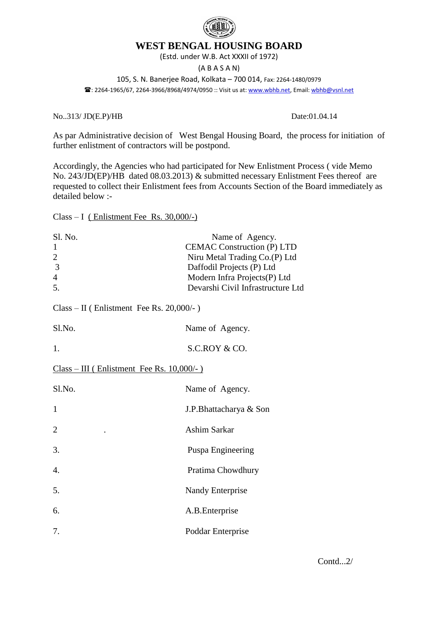

## **WEST BENGAL HOUSING BOARD**

(Estd. under W.B. Act XXXII of 1972)

(A B A S A N)

105, S. N. Banerjee Road, Kolkata – 700 014, Fax: 2264-1480/0979 : 2264-1965/67, 2264-3966/8968/4974/0950 :: Visit us at: [www.wbhb.net,](http://www.wbhb.net/) Email[: wbhb@vsnl.net](mailto:wbhb@vsnl.net)

No..313/ JD(E.P)/HB Date:01.04.14

As par Administrative decision of West Bengal Housing Board, the process for initiation of further enlistment of contractors will be postpond.

Accordingly, the Agencies who had participated for New Enlistment Process ( vide Memo No. 243/JD(EP)/HB dated 08.03.2013) & submitted necessary Enlistment Fees thereof are requested to collect their Enlistment fees from Accounts Section of the Board immediately as detailed below :-

Class – I ( Enlistment Fee Rs. 30,000/-)

| Sl. No.<br>1<br>$\overline{c}$<br>$\overline{3}$<br>$\overline{4}$<br>5. | Name of Agency.<br><b>CEMAC Construction (P) LTD</b><br>Niru Metal Trading Co.(P) Ltd<br>Daffodil Projects (P) Ltd<br>Modern Infra Projects(P) Ltd<br>Devarshi Civil Infrastructure Ltd |  |
|--------------------------------------------------------------------------|-----------------------------------------------------------------------------------------------------------------------------------------------------------------------------------------|--|
| $Class - II$ (Enlistment Fee Rs. 20,000/-)                               |                                                                                                                                                                                         |  |
| Sl.No.                                                                   | Name of Agency.                                                                                                                                                                         |  |
| 1.                                                                       | S.C.ROY & CO.                                                                                                                                                                           |  |
| $Class - III$ (Enlistment Fee Rs. 10,000/-)                              |                                                                                                                                                                                         |  |
| Sl.No.                                                                   | Name of Agency.                                                                                                                                                                         |  |
| 1                                                                        | J.P.Bhattacharya & Son                                                                                                                                                                  |  |
| 2                                                                        | Ashim Sarkar                                                                                                                                                                            |  |
| 3.                                                                       | Puspa Engineering                                                                                                                                                                       |  |
| 4.                                                                       | Pratima Chowdhury                                                                                                                                                                       |  |
| 5.                                                                       | Nandy Enterprise                                                                                                                                                                        |  |
| 6.                                                                       | A.B. Enterprise                                                                                                                                                                         |  |
| 7.                                                                       | Poddar Enterprise                                                                                                                                                                       |  |